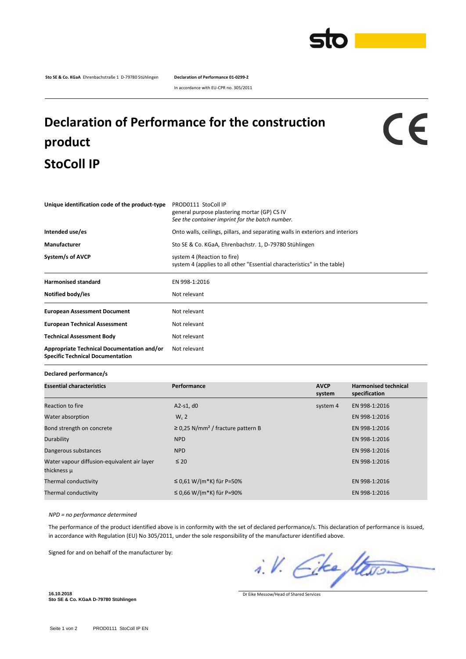

**Sto SE & Co. KGaA** Ehrenbachstraße 1 D-79780 Stühlingen **Declaration of Performance 01-0299-2**

In accordance with EU-CPR no. 305/2011

## **Declaration of Performance for the construction product StoColl IP**

## $c\epsilon$

| Unique identification code of the product-type                                        | PROD0111 StoColl IP<br>general purpose plastering mortar (GP) CS IV<br>See the container imprint for the batch number. |  |  |
|---------------------------------------------------------------------------------------|------------------------------------------------------------------------------------------------------------------------|--|--|
| Intended use/es                                                                       | Onto walls, ceilings, pillars, and separating walls in exteriors and interiors                                         |  |  |
| Manufacturer                                                                          | Sto SE & Co. KGaA, Ehrenbachstr. 1, D-79780 Stühlingen                                                                 |  |  |
| System/s of AVCP                                                                      | system 4 (Reaction to fire)<br>system 4 (applies to all other "Essential characteristics" in the table)                |  |  |
| <b>Harmonised standard</b>                                                            | EN 998-1:2016                                                                                                          |  |  |
| Notified body/ies                                                                     | Not relevant                                                                                                           |  |  |
| <b>European Assessment Document</b>                                                   | Not relevant                                                                                                           |  |  |
| <b>European Technical Assessment</b>                                                  | Not relevant                                                                                                           |  |  |
| <b>Technical Assessment Body</b>                                                      | Not relevant                                                                                                           |  |  |
| Appropriate Technical Documentation and/or<br><b>Specific Technical Documentation</b> | Not relevant                                                                                                           |  |  |

**Declared performance/s**

| <b>Essential characteristics</b>                           | Performance                                        | <b>AVCP</b><br>system | <b>Harmonised technical</b><br>specification |
|------------------------------------------------------------|----------------------------------------------------|-----------------------|----------------------------------------------|
| Reaction to fire                                           | $A2-S1, d0$                                        | system 4              | EN 998-1:2016                                |
| Water absorption                                           | $W_c$ 2                                            |                       | EN 998-1:2016                                |
| Bond strength on concrete                                  | $\geq$ 0,25 N/mm <sup>2</sup> / fracture pattern B |                       | EN 998-1:2016                                |
| Durability                                                 | <b>NPD</b>                                         |                       | EN 998-1:2016                                |
| Dangerous substances                                       | <b>NPD</b>                                         |                       | EN 998-1:2016                                |
| Water vapour diffusion-equivalent air layer<br>thickness µ | $\leq 20$                                          |                       | EN 998-1:2016                                |
| Thermal conductivity                                       | ≤ 0,61 W/(m*K) für P=50%                           |                       | EN 998-1:2016                                |
| Thermal conductivity                                       | ≤ 0,66 W/(m*K) für P=90%                           |                       | EN 998-1:2016                                |

*NPD = no performance determined*

The performance of the product identified above is in conformity with the set of declared performance/s. This declaration of performance is issued, in accordance with Regulation (EU) No 305/2011, under the sole responsibility of the manufacturer identified above.

Signed for and on behalf of the manufacturer by:

i.V. Eke Stewar

**16.10.2018 Sto SE & Co. KGaA D-79780 Stühlingen**

Dr Eike Messow/Head of Shared Services